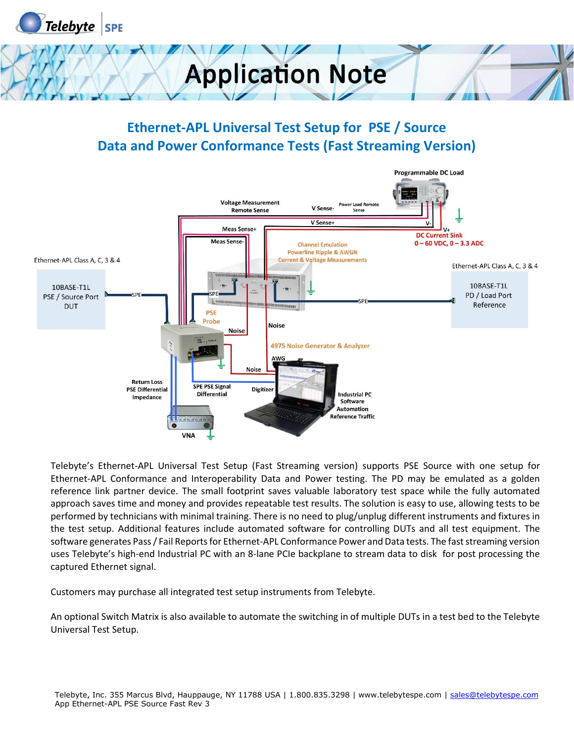



#### **Ethernet-APL Universal Test Setup for PSE / Source Data and Power Conformance Tests (Fast Streaming Version)**



Telebyte's Ethernet-APL Universal Test Setup (Fast Streaming version) supports PSE Source with one setup for Ethernet-APL Conformance and Interoperability Data and Power testing. The PD may be emulated as a golden reference link partner device. The small footprint saves valuable laboratory test space while the fully automated approach saves time and money and provides repeatable test results. The solution is easy to use, allowing tests to be performed by technicians with minimal training. There is no need to plug/unplug different instruments and fixtures in the test setup. Additional features include automated software for controlling DUTs and all test equipment. The software generates Pass / Fail Reports for Ethernet-APL Conformance Power and Data tests. The fast streaming version uses Telebyte's high-end Industrial PC with an 8-lane PCIe backplane to stream data to disk for post processing the captured Ethernet signal.

Customers may purchase all integrated test setup instruments from Telebyte.

An optional Switch Matrix is also available to automate the switching in of multiple DUTs in a test bed to the Telebyte Universal Test Setup.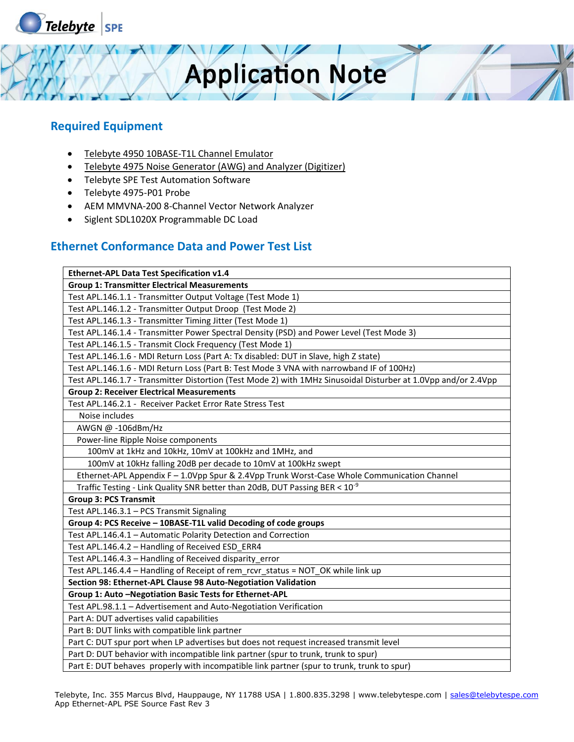

#### **Required Equipment**

- Telebyte 4950 10BASE-T1L Channel Emulator
- Telebyte 4975 Noise Generator (AWG) and Analyzer (Digitizer)
- Telebyte SPE Test Automation Software
- Telebyte 4975-P01 Probe
- AEM MMVNA-200 8-Channel Vector Network Analyzer
- Siglent SDL1020X Programmable DC Load

#### **Ethernet Conformance Data and Power Test List**

| Ethernet-APL Data Test Specification v1.4                                                                      |
|----------------------------------------------------------------------------------------------------------------|
| <b>Group 1: Transmitter Electrical Measurements</b>                                                            |
| Test APL.146.1.1 - Transmitter Output Voltage (Test Mode 1)                                                    |
| Test APL.146.1.2 - Transmitter Output Droop (Test Mode 2)                                                      |
| Test APL.146.1.3 - Transmitter Timing Jitter (Test Mode 1)                                                     |
| Test APL.146.1.4 - Transmitter Power Spectral Density (PSD) and Power Level (Test Mode 3)                      |
| Test APL.146.1.5 - Transmit Clock Frequency (Test Mode 1)                                                      |
| Test APL.146.1.6 - MDI Return Loss (Part A: Tx disabled: DUT in Slave, high Z state)                           |
| Test APL.146.1.6 - MDI Return Loss (Part B: Test Mode 3 VNA with narrowband IF of 100Hz)                       |
| Test APL.146.1.7 - Transmitter Distortion (Test Mode 2) with 1MHz Sinusoidal Disturber at 1.0Vpp and/or 2.4Vpp |
| <b>Group 2: Receiver Electrical Measurements</b>                                                               |
| Test APL.146.2.1 - Receiver Packet Error Rate Stress Test                                                      |
| Noise includes                                                                                                 |
| AWGN @ -106dBm/Hz                                                                                              |
| Power-line Ripple Noise components                                                                             |
| 100mV at 1kHz and 10kHz, 10mV at 100kHz and 1MHz, and                                                          |
| 100mV at 10kHz falling 20dB per decade to 10mV at 100kHz swept                                                 |
| Ethernet-APL Appendix F - 1.0Vpp Spur & 2.4Vpp Trunk Worst-Case Whole Communication Channel                    |
| Traffic Testing - Link Quality SNR better than 20dB, DUT Passing BER < 10 <sup>-9</sup>                        |
| <b>Group 3: PCS Transmit</b>                                                                                   |
| Test APL.146.3.1 - PCS Transmit Signaling                                                                      |
| Group 4: PCS Receive - 10BASE-T1L valid Decoding of code groups                                                |
| Test APL.146.4.1 - Automatic Polarity Detection and Correction                                                 |
| Test APL.146.4.2 - Handling of Received ESD_ERR4                                                               |
| Test APL.146.4.3 - Handling of Received disparity error                                                        |
| Test APL.146.4.4 - Handling of Receipt of rem_rcvr_status = NOT_OK while link up                               |
| Section 98: Ethernet-APL Clause 98 Auto-Negotiation Validation                                                 |
| Group 1: Auto - Negotiation Basic Tests for Ethernet-APL                                                       |
| Test APL.98.1.1 - Advertisement and Auto-Negotiation Verification                                              |
| Part A: DUT advertises valid capabilities                                                                      |
| Part B: DUT links with compatible link partner                                                                 |
| Part C: DUT spur port when LP advertises but does not request increased transmit level                         |
| Part D: DUT behavior with incompatible link partner (spur to trunk, trunk to spur)                             |
| Part E: DUT behaves properly with incompatible link partner (spur to trunk, trunk to spur)                     |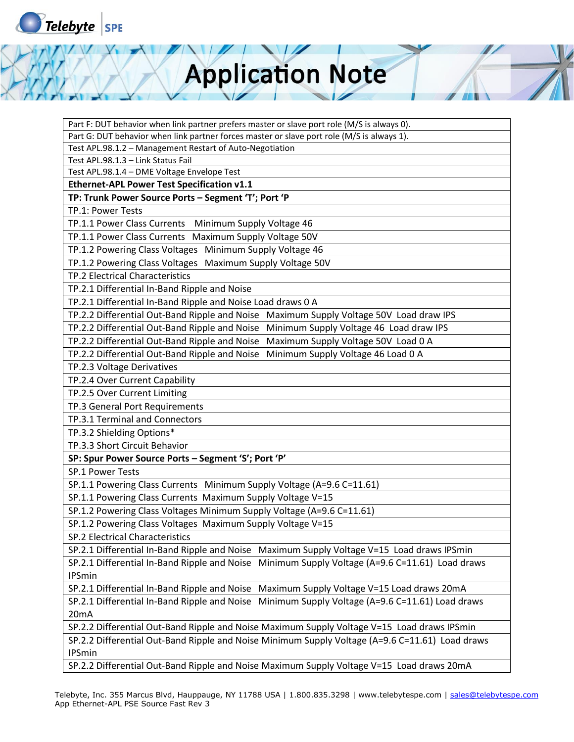

Part F: DUT behavior when link partner prefers master or slave port role (M/S is always 0).

Part G: DUT behavior when link partner forces master or slave port role (M/S is always 1).

Test APL.98.1.2 – Management Restart of Auto-Negotiation

Test APL.98.1.3 – Link Status Fail

Test APL.98.1.4 – DME Voltage Envelope Test

**Ethernet-APL Power Test Specification v1.1** 

**TP: Trunk Power Source Ports – Segment 'T'; Port 'P**

TP.1: Power Tests

TP.1.1 Power Class Currents Minimum Supply Voltage 46

TP.1.1 Power Class Currents Maximum Supply Voltage 50V

TP.1.2 Powering Class Voltages Minimum Supply Voltage 46

TP.1.2 Powering Class Voltages Maximum Supply Voltage 50V

TP.2 Electrical Characteristics

TP.2.1 Differential In-Band Ripple and Noise

TP.2.1 Differential In-Band Ripple and Noise Load draws 0 A

TP.2.2 Differential Out-Band Ripple and Noise Maximum Supply Voltage 50V Load draw IPS

TP.2.2 Differential Out-Band Ripple and Noise Minimum Supply Voltage 46 Load draw IPS

TP.2.2 Differential Out-Band Ripple and Noise Maximum Supply Voltage 50V Load 0 A

TP.2.2 Differential Out-Band Ripple and Noise Minimum Supply Voltage 46 Load 0 A

TP.2.3 Voltage Derivatives

TP.2.4 Over Current Capability

TP.2.5 Over Current Limiting

TP.3 General Port Requirements

TP.3.1 Terminal and Connectors

TP.3.2 Shielding Options\*

TP.3.3 Short Circuit Behavior

**SP: Spur Power Source Ports – Segment 'S'; Port 'P'**

SP.1 Power Tests

SP.1.1 Powering Class Currents Minimum Supply Voltage (A=9.6 C=11.61)

SP.1.1 Powering Class Currents Maximum Supply Voltage V=15

SP.1.2 Powering Class Voltages Minimum Supply Voltage (A=9.6 C=11.61)

SP.1.2 Powering Class Voltages Maximum Supply Voltage V=15

SP.2 Electrical Characteristics

SP.2.1 Differential In-Band Ripple and Noise Maximum Supply Voltage V=15 Load draws IPSmin SP.2.1 Differential In-Band Ripple and Noise Minimum Supply Voltage (A=9.6 C=11.61) Load draws IPSmin

SP.2.1 Differential In-Band Ripple and Noise Maximum Supply Voltage V=15 Load draws 20mA

SP.2.1 Differential In-Band Ripple and Noise Minimum Supply Voltage (A=9.6 C=11.61) Load draws 20mA

SP.2.2 Differential Out-Band Ripple and Noise Maximum Supply Voltage V=15 Load draws IPSmin

SP.2.2 Differential Out-Band Ripple and Noise Minimum Supply Voltage (A=9.6 C=11.61) Load draws IPSmin

SP.2.2 Differential Out-Band Ripple and Noise Maximum Supply Voltage V=15 Load draws 20mA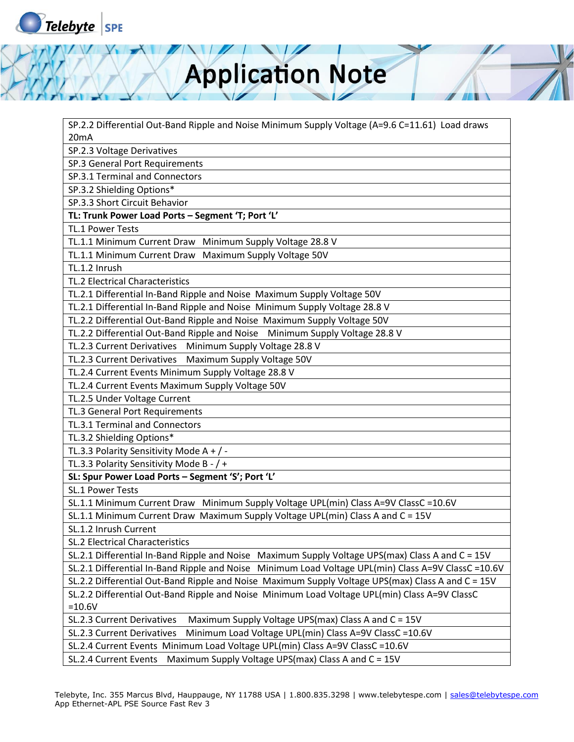

SP.2.2 Differential Out-Band Ripple and Noise Minimum Supply Voltage (A=9.6 C=11.61) Load draws 20mA

SP.2.3 Voltage Derivatives

SP.3 General Port Requirements

SP.3.1 Terminal and Connectors

SP.3.2 Shielding Options\*

SP.3.3 Short Circuit Behavior

**TL: Trunk Power Load Ports – Segment 'T; Port 'L'**

TL.1 Power Tests

TL.1.1 Minimum Current Draw Minimum Supply Voltage 28.8 V

TL.1.1 Minimum Current Draw Maximum Supply Voltage 50V

TL.1.2 Inrush

TL.2 Electrical Characteristics

TL.2.1 Differential In-Band Ripple and Noise Maximum Supply Voltage 50V

TL.2.1 Differential In-Band Ripple and Noise Minimum Supply Voltage 28.8 V

TL.2.2 Differential Out-Band Ripple and Noise Maximum Supply Voltage 50V

TL.2.2 Differential Out-Band Ripple and Noise Minimum Supply Voltage 28.8 V

TL.2.3 Current Derivatives Minimum Supply Voltage 28.8 V

TL.2.3 Current Derivatives Maximum Supply Voltage 50V

TL.2.4 Current Events Minimum Supply Voltage 28.8 V

TL.2.4 Current Events Maximum Supply Voltage 50V

TL.2.5 Under Voltage Current

TL.3 General Port Requirements

TL.3.1 Terminal and Connectors

TL.3.2 Shielding Options\*

TL.3.3 Polarity Sensitivity Mode A + / -

TL.3.3 Polarity Sensitivity Mode B - / +

**SL: Spur Power Load Ports – Segment 'S'; Port 'L'**

SL.1 Power Tests

SL.1.1 Minimum Current Draw Minimum Supply Voltage UPL(min) Class A=9V ClassC =10.6V

SL.1.1 Minimum Current Draw Maximum Supply Voltage UPL(min) Class A and C = 15V

SL.1.2 Inrush Current

SL.2 Electrical Characteristics

SL.2.1 Differential In-Band Ripple and Noise Maximum Supply Voltage UPS(max) Class A and C = 15V

SL.2.1 Differential In-Band Ripple and Noise Minimum Load Voltage UPL(min) Class A=9V ClassC =10.6V

SL.2.2 Differential Out-Band Ripple and Noise Maximum Supply Voltage UPS(max) Class A and C = 15V

SL.2.2 Differential Out-Band Ripple and Noise Minimum Load Voltage UPL(min) Class A=9V ClassC =10.6V

SL.2.3 Current Derivatives Maximum Supply Voltage UPS(max) Class A and C = 15V

SL.2.3 Current Derivatives Minimum Load Voltage UPL(min) Class A=9V ClassC =10.6V

SL.2.4 Current Events Minimum Load Voltage UPL(min) Class A=9V ClassC =10.6V

SL.2.4 Current Events Maximum Supply Voltage UPS(max) Class A and C = 15V